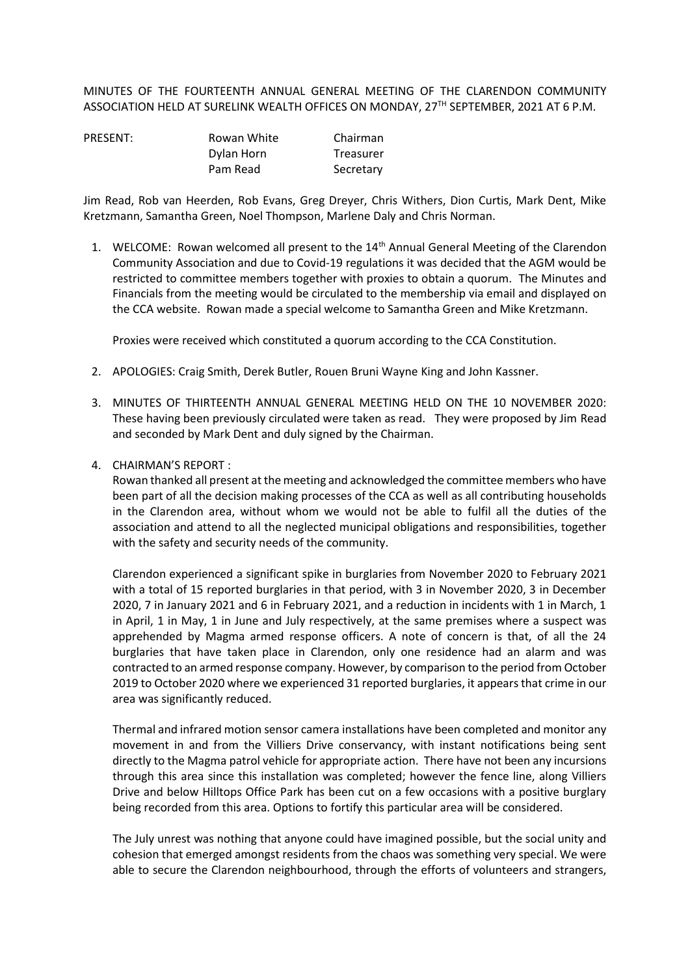MINUTES OF THE FOURTEENTH ANNUAL GENERAL MEETING OF THE CLARENDON COMMUNITY ASSOCIATION HELD AT SURELINK WEALTH OFFICES ON MONDAY, 27<sup>TH</sup> SEPTEMBER, 2021 AT 6 P.M.

| PRESENT: | Rowan White | Chairman  |
|----------|-------------|-----------|
|          | Dylan Horn  | Treasurer |
|          | Pam Read    | Secretary |

Jim Read, Rob van Heerden, Rob Evans, Greg Dreyer, Chris Withers, Dion Curtis, Mark Dent, Mike Kretzmann, Samantha Green, Noel Thompson, Marlene Daly and Chris Norman.

1. WELCOME: Rowan welcomed all present to the 14<sup>th</sup> Annual General Meeting of the Clarendon Community Association and due to Covid-19 regulations it was decided that the AGM would be restricted to committee members together with proxies to obtain a quorum. The Minutes and Financials from the meeting would be circulated to the membership via email and displayed on the CCA website. Rowan made a special welcome to Samantha Green and Mike Kretzmann.

Proxies were received which constituted a quorum according to the CCA Constitution.

- 2. APOLOGIES: Craig Smith, Derek Butler, Rouen Bruni Wayne King and John Kassner.
- 3. MINUTES OF THIRTEENTH ANNUAL GENERAL MEETING HELD ON THE 10 NOVEMBER 2020: These having been previously circulated were taken as read. They were proposed by Jim Read and seconded by Mark Dent and duly signed by the Chairman.
- 4. CHAIRMAN'S REPORT :

Rowan thanked all present at the meeting and acknowledged the committee members who have been part of all the decision making processes of the CCA as well as all contributing households in the Clarendon area, without whom we would not be able to fulfil all the duties of the association and attend to all the neglected municipal obligations and responsibilities, together with the safety and security needs of the community.

Clarendon experienced a significant spike in burglaries from November 2020 to February 2021 with a total of 15 reported burglaries in that period, with 3 in November 2020, 3 in December 2020, 7 in January 2021 and 6 in February 2021, and a reduction in incidents with 1 in March, 1 in April, 1 in May, 1 in June and July respectively, at the same premises where a suspect was apprehended by Magma armed response officers. A note of concern is that, of all the 24 burglaries that have taken place in Clarendon, only one residence had an alarm and was contracted to an armed response company. However, by comparison to the period from October 2019 to October 2020 where we experienced 31 reported burglaries, it appears that crime in our area was significantly reduced.

Thermal and infrared motion sensor camera installations have been completed and monitor any movement in and from the Villiers Drive conservancy, with instant notifications being sent directly to the Magma patrol vehicle for appropriate action. There have not been any incursions through this area since this installation was completed; however the fence line, along Villiers Drive and below Hilltops Office Park has been cut on a few occasions with a positive burglary being recorded from this area. Options to fortify this particular area will be considered.

The July unrest was nothing that anyone could have imagined possible, but the social unity and cohesion that emerged amongst residents from the chaos was something very special. We were able to secure the Clarendon neighbourhood, through the efforts of volunteers and strangers,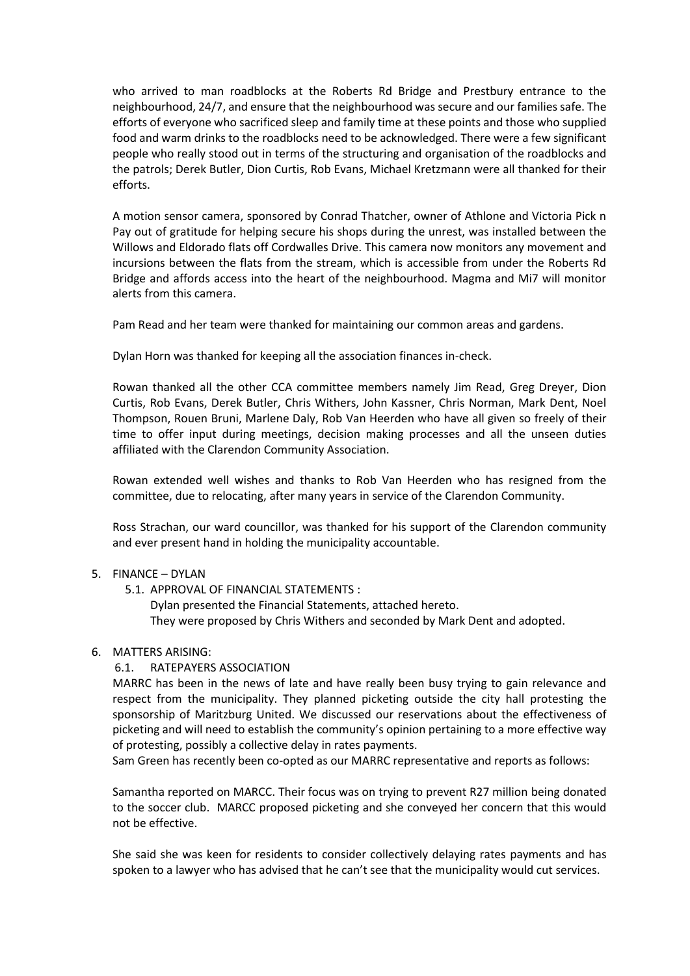who arrived to man roadblocks at the Roberts Rd Bridge and Prestbury entrance to the neighbourhood, 24/7, and ensure that the neighbourhood was secure and our families safe. The efforts of everyone who sacrificed sleep and family time at these points and those who supplied food and warm drinks to the roadblocks need to be acknowledged. There were a few significant people who really stood out in terms of the structuring and organisation of the roadblocks and the patrols; Derek Butler, Dion Curtis, Rob Evans, Michael Kretzmann were all thanked for their efforts.

A motion sensor camera, sponsored by Conrad Thatcher, owner of Athlone and Victoria Pick n Pay out of gratitude for helping secure his shops during the unrest, was installed between the Willows and Eldorado flats off Cordwalles Drive. This camera now monitors any movement and incursions between the flats from the stream, which is accessible from under the Roberts Rd Bridge and affords access into the heart of the neighbourhood. Magma and Mi7 will monitor alerts from this camera.

Pam Read and her team were thanked for maintaining our common areas and gardens.

Dylan Horn was thanked for keeping all the association finances in-check.

Rowan thanked all the other CCA committee members namely Jim Read, Greg Dreyer, Dion Curtis, Rob Evans, Derek Butler, Chris Withers, John Kassner, Chris Norman, Mark Dent, Noel Thompson, Rouen Bruni, Marlene Daly, Rob Van Heerden who have all given so freely of their time to offer input during meetings, decision making processes and all the unseen duties affiliated with the Clarendon Community Association.

Rowan extended well wishes and thanks to Rob Van Heerden who has resigned from the committee, due to relocating, after many years in service of the Clarendon Community.

Ross Strachan, our ward councillor, was thanked for his support of the Clarendon community and ever present hand in holding the municipality accountable.

## 5. FINANCE – DYLAN

5.1. APPROVAL OF FINANCIAL STATEMENTS :

Dylan presented the Financial Statements, attached hereto.

They were proposed by Chris Withers and seconded by Mark Dent and adopted.

## 6. MATTERS ARISING:

# 6.1. RATEPAYERS ASSOCIATION

MARRC has been in the news of late and have really been busy trying to gain relevance and respect from the municipality. They planned picketing outside the city hall protesting the sponsorship of Maritzburg United. We discussed our reservations about the effectiveness of picketing and will need to establish the community's opinion pertaining to a more effective way of protesting, possibly a collective delay in rates payments.

Sam Green has recently been co-opted as our MARRC representative and reports as follows:

Samantha reported on MARCC. Their focus was on trying to prevent R27 million being donated to the soccer club. MARCC proposed picketing and she conveyed her concern that this would not be effective.

She said she was keen for residents to consider collectively delaying rates payments and has spoken to a lawyer who has advised that he can't see that the municipality would cut services.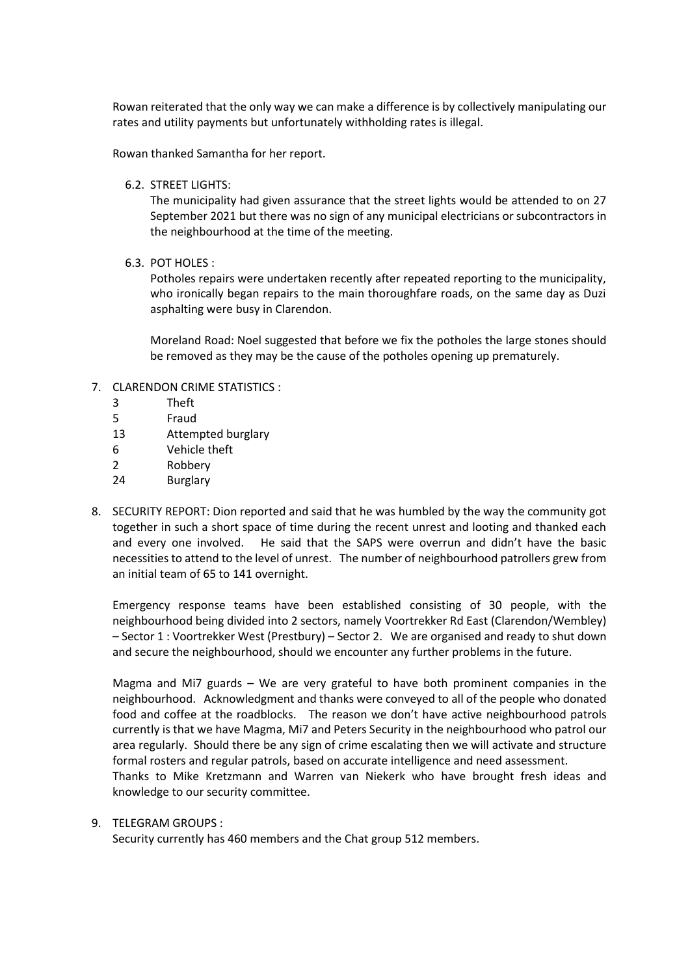Rowan reiterated that the only way we can make a difference is by collectively manipulating our rates and utility payments but unfortunately withholding rates is illegal.

Rowan thanked Samantha for her report.

6.2. STREET LIGHTS:

The municipality had given assurance that the street lights would be attended to on 27 September 2021 but there was no sign of any municipal electricians or subcontractors in the neighbourhood at the time of the meeting.

6.3. POT HOLES :

Potholes repairs were undertaken recently after repeated reporting to the municipality, who ironically began repairs to the main thoroughfare roads, on the same day as Duzi asphalting were busy in Clarendon.

Moreland Road: Noel suggested that before we fix the potholes the large stones should be removed as they may be the cause of the potholes opening up prematurely.

- 7. CLARENDON CRIME STATISTICS :
	- 3 Theft
	- 5 Fraud
	- 13 Attempted burglary
	- 6 Vehicle theft
	- 2 Robbery
	- 24 Burglary
- 8. SECURITY REPORT: Dion reported and said that he was humbled by the way the community got together in such a short space of time during the recent unrest and looting and thanked each and every one involved. He said that the SAPS were overrun and didn't have the basic necessities to attend to the level of unrest. The number of neighbourhood patrollers grew from an initial team of 65 to 141 overnight.

Emergency response teams have been established consisting of 30 people, with the neighbourhood being divided into 2 sectors, namely Voortrekker Rd East (Clarendon/Wembley) – Sector 1 : Voortrekker West (Prestbury) – Sector 2. We are organised and ready to shut down and secure the neighbourhood, should we encounter any further problems in the future.

Magma and Mi7 guards – We are very grateful to have both prominent companies in the neighbourhood. Acknowledgment and thanks were conveyed to all of the people who donated food and coffee at the roadblocks. The reason we don't have active neighbourhood patrols currently is that we have Magma, Mi7 and Peters Security in the neighbourhood who patrol our area regularly. Should there be any sign of crime escalating then we will activate and structure formal rosters and regular patrols, based on accurate intelligence and need assessment.

Thanks to Mike Kretzmann and Warren van Niekerk who have brought fresh ideas and knowledge to our security committee.

## 9. TELEGRAM GROUPS :

Security currently has 460 members and the Chat group 512 members.